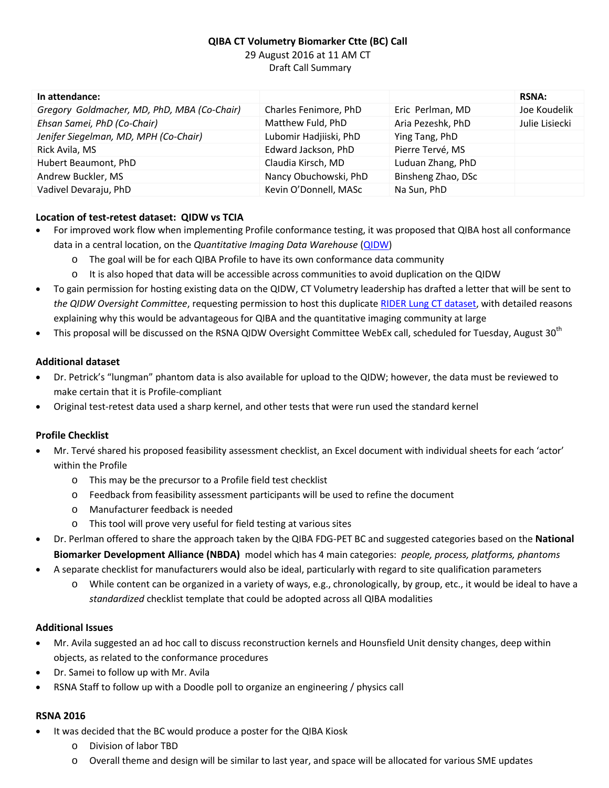# **QIBA CT Volumetry Biomarker Ctte (BC) Call** 29 August 2016 at 11 AM CT Draft Call Summary

| In attendance:                              |                        |                    | <b>RSNA:</b>   |
|---------------------------------------------|------------------------|--------------------|----------------|
| Gregory Goldmacher, MD, PhD, MBA (Co-Chair) | Charles Fenimore, PhD  | Eric Perlman, MD   | Joe Koudelik   |
| Ehsan Samei, PhD (Co-Chair)                 | Matthew Fuld, PhD      | Aria Pezeshk, PhD  | Julie Lisiecki |
| Jenifer Siegelman, MD, MPH (Co-Chair)       | Lubomir Hadjiiski, PhD | Ying Tang, PhD     |                |
| Rick Avila, MS                              | Edward Jackson, PhD    | Pierre Tervé, MS   |                |
| Hubert Beaumont, PhD                        | Claudia Kirsch, MD     | Luduan Zhang, PhD  |                |
| Andrew Buckler, MS                          | Nancy Obuchowski, PhD  | Binsheng Zhao, DSc |                |
| Vadivel Devaraju, PhD                       | Kevin O'Donnell, MASc  | Na Sun, PhD        |                |

# **Location of test-retest dataset: QIDW vs TCIA**

- For improved work flow when implementing Profile conformance testing, it was proposed that QIBA host all conformance data in a central location, on the *Quantitative Imaging Data Warehouse* [\(QIDW\)](http://www.rsna.org/qidw/)
	- o The goal will be for each QIBA Profile to have its own conformance data community
	- o It is also hoped that data will be accessible across communities to avoid duplication on the QIDW
- · To gain permission for hosting existing data on the QIDW, CT Volumetry leadership has drafted a letter that will be sent to *the QIDW Oversight Committee*, requesting permission to host this duplicate [RIDER Lung CT dataset,](https://wiki.cancerimagingarchive.net/display/Public/RIDER+Lung+CT) with detailed reasons explaining why this would be advantageous for QIBA and the quantitative imaging community at large
- This proposal will be discussed on the RSNA QIDW Oversight Committee WebEx call, scheduled for Tuesday, August 30<sup>th</sup>

### **Additional dataset**

- · Dr. Petrick's "lungman" phantom data is also available for upload to the QIDW; however, the data must be reviewed to make certain that it is Profile-compliant
- · Original test-retest data used a sharp kernel, and other tests that were run used the standard kernel

### **Profile Checklist**

- · Mr. Tervé shared his proposed feasibility assessment checklist, an Excel document with individual sheets for each 'actor' within the Profile
	- o This may be the precursor to a Profile field test checklist
	- o Feedback from feasibility assessment participants will be used to refine the document
	- o Manufacturer feedback is needed
	- o This tool will prove very useful for field testing at various sites
- · Dr. Perlman offered to share the approach taken by the QIBA FDG-PET BC and suggested categories based on the **National Biomarker Development Alliance (NBDA)** model which has 4 main categories: *people, process, platforms, phantoms*
- · A separate checklist for manufacturers would also be ideal, particularly with regard to site qualification parameters
	- o While content can be organized in a variety of ways, e.g., chronologically, by group, etc., it would be ideal to have a *standardized* checklist template that could be adopted across all QIBA modalities

#### **Additional Issues**

- · Mr. Avila suggested an ad hoc call to discuss reconstruction kernels and Hounsfield Unit density changes, deep within objects, as related to the conformance procedures
- Dr. Samei to follow up with Mr. Avila
- · RSNA Staff to follow up with a Doodle poll to organize an engineering / physics call

#### **RSNA 2016**

- It was decided that the BC would produce a poster for the QIBA Kiosk
	- o Division of labor TBD
	- o Overall theme and design will be similar to last year, and space will be allocated for various SME updates